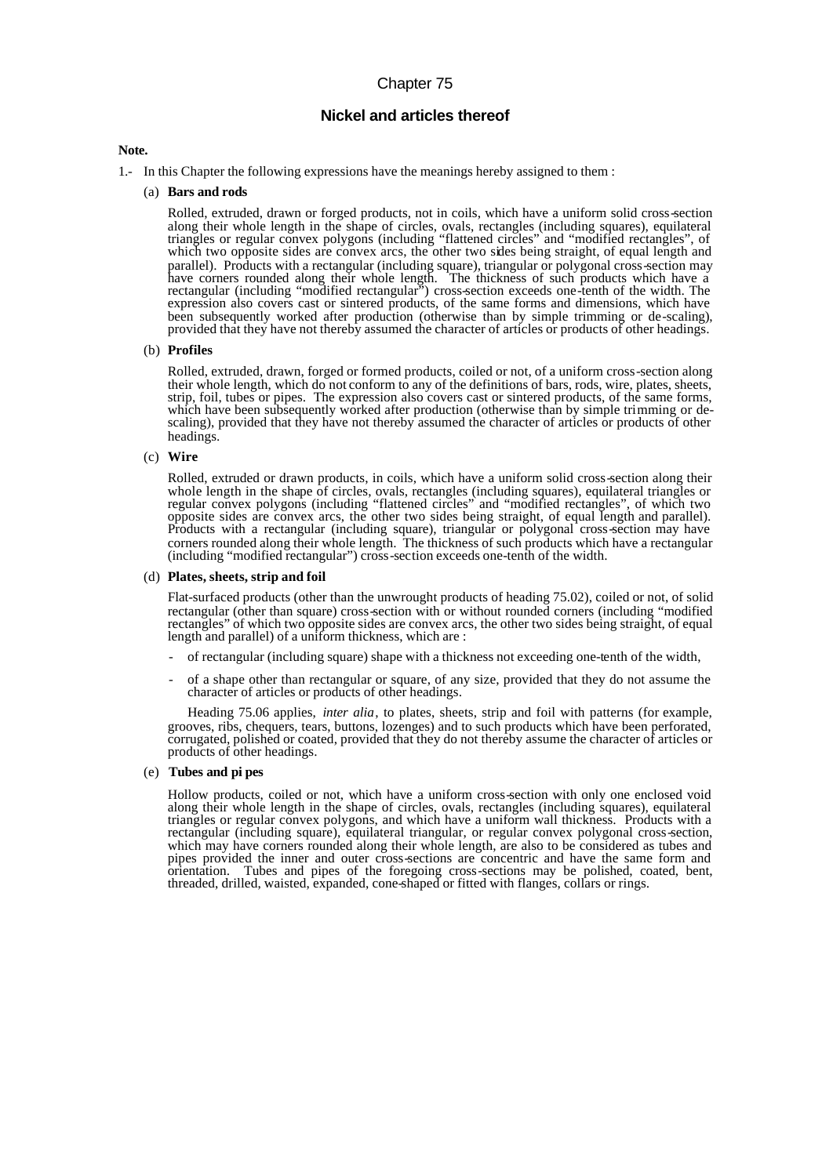# Chapter 75

## **Nickel and articles thereof**

### **Note.**

- 1.- In this Chapter the following expressions have the meanings hereby assigned to them :
	- (a) **Bars and rods**

Rolled, extruded, drawn or forged products, not in coils, which have a uniform solid cross-section along their whole length in the shape of circles, ovals, rectangles (including squares), equilateral triangles or regular convex polygons (including "flattened circles" and "modified rectangles", of which two opposite sides are convex arcs, the other two sides being straight, of equal length and parallel). Products with a rectangular (including square), triangular or polygonal cross-section may have corners rounded along their whole length. The thickness of such products which have a rectangular (including "modified rectangular") cross-section exceeds one-tenth of the width. The expression also covers cast or sintered products, of the same forms and dimensions, which have been subsequently worked after production (otherwise than by simple trimming or de-scaling), provided that they have not thereby assumed the character of articles or products of other headings.

#### (b) **Profiles**

Rolled, extruded, drawn, forged or formed products, coiled or not, of a uniform cross-section along their whole length, which do not conform to any of the definitions of bars, rods, wire, plates, sheets, strip, foil, tubes or pipes. The expression also covers cast or sintered products, of the same forms, which have been subsequently worked after production (otherwise than by simple trimming or descaling), provided that they have not thereby assumed the character of articles or products of other headings.

#### (c) **Wire**

Rolled, extruded or drawn products, in coils, which have a uniform solid cross-section along their whole length in the shape of circles, ovals, rectangles (including squares), equilateral triangles or regular convex polygons (including "flattened circles" and "modified rectangles", of which two opposite sides are convex arcs, the other two sides being straight, of equal length and parallel). Products with a rectangular (including square), triangular or polygonal cross-section may have corners rounded along their whole length. The thickness of such products which have a rectangular (including "modified rectangular") cross-section exceeds one-tenth of the width.

#### (d) **Plates, sheets, strip and foil**

Flat-surfaced products (other than the unwrought products of heading 75.02), coiled or not, of solid rectangular (other than square) cross-section with or without rounded corners (including "modified rectangles" of which two opposite sides are convex arcs, the other two sides being straight, of equal length and parallel) of a uniform thickness, which are :

- of rectangular (including square) shape with a thickness not exceeding one-tenth of the width,
- of a shape other than rectangular or square, of any size, provided that they do not assume the character of articles or products of other headings.

Heading 75.06 applies, *inter alia*, to plates, sheets, strip and foil with patterns (for example, grooves, ribs, chequers, tears, buttons, lozenges) and to such products which have been perforated, corrugated, polished or coated, provided that they do not thereby assume the character of articles or products of other headings.

### (e) **Tubes and pi pes**

Hollow products, coiled or not, which have a uniform cross-section with only one enclosed void along their whole length in the shape of circles, ovals, rectangles (including squares), equilateral triangles or regular convex polygons, and which have a uniform wall thickness. Products with a rectangular (including square), equilateral triangular, or regular convex polygonal cross-section, which may have corners rounded along their whole length, are also to be considered as tubes and pipes provided the inner and outer cross-sections are concentric and have the same form and orientation. Tubes and pipes of the foregoing cross-sections may be polished, coated, bent, threaded, drilled, waisted, expanded, cone-shaped or fitted with flanges, collars or rings.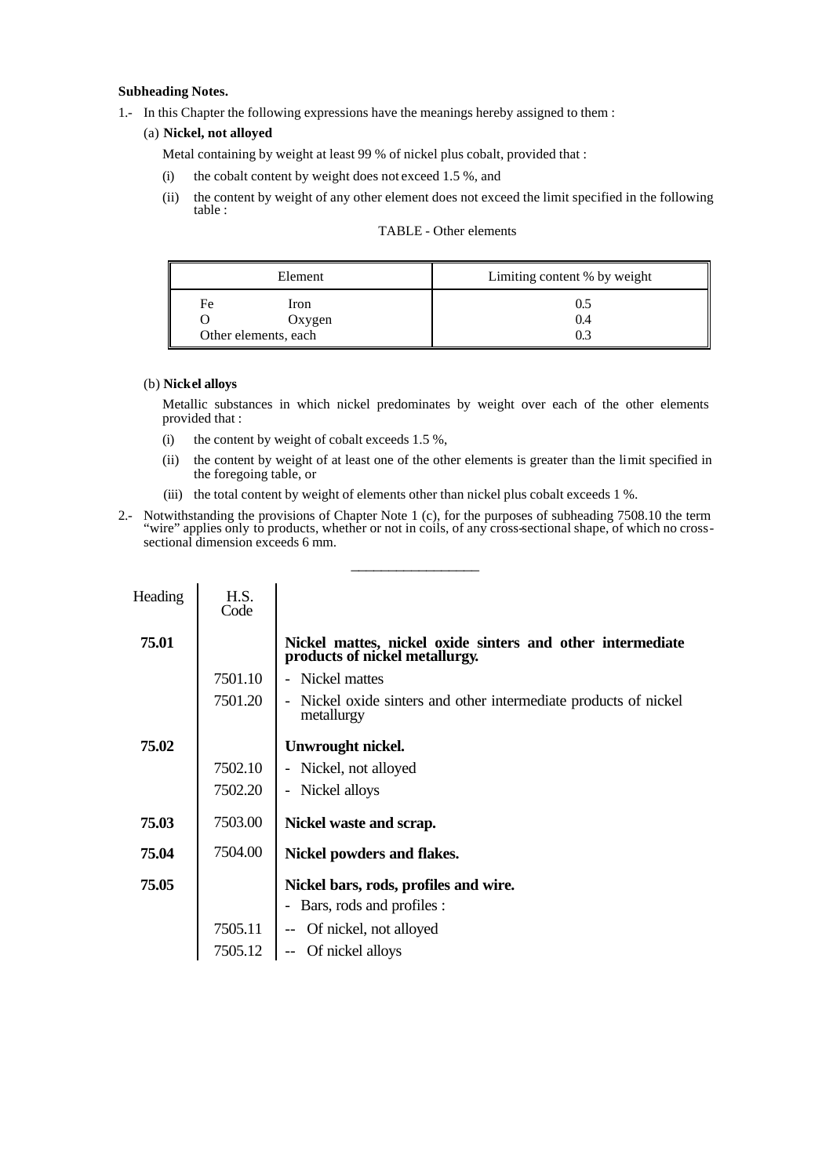## **Subheading Notes.**

1.- In this Chapter the following expressions have the meanings hereby assigned to them :

## (a) **Nickel, not alloyed**

Metal containing by weight at least 99 % of nickel plus cobalt, provided that :

- (i) the cobalt content by weight does not exceed 1.5 %, and
- (ii) the content by weight of any other element does not exceed the limit specified in the following table :

| <b>TABLE</b> - Other elements |
|-------------------------------|
|                               |

| Element                                      | Limiting content % by weight |
|----------------------------------------------|------------------------------|
| Fe<br>Iron<br>Oxygen<br>Other elements, each | 0.4                          |

### (b) **Nickel alloys**

Metallic substances in which nickel predominates by weight over each of the other elements provided that :

- (i) the content by weight of cobalt exceeds  $1.5\%$ ,
- (ii) the content by weight of at least one of the other elements is greater than the limit specified in the foregoing table, or
- (iii) the total content by weight of elements other than nickel plus cobalt exceeds 1 %.
- 2.- Notwithstanding the provisions of Chapter Note 1 (c), for the purposes of subheading 7508.10 the term "wire" applies only to products, whether or not in coils, of any cross-sectional shape, of which no crosssectional dimension exceeds 6 mm.

\_\_\_\_\_\_\_\_\_\_\_\_\_\_\_\_\_

| Heading | H.S.<br>Code |                                                                                              |
|---------|--------------|----------------------------------------------------------------------------------------------|
| 75.01   |              | Nickel mattes, nickel oxide sinters and other intermediate<br>products of nickel metallurgy. |
|         | 7501.10      | Nickel mattes                                                                                |
|         | 7501.20      | Nickel oxide sinters and other intermediate products of nickel<br>metallurgy                 |
| 75.02   |              | Unwrought nickel.                                                                            |
|         | 7502.10      | - Nickel, not alloyed                                                                        |
|         | 7502.20      | - Nickel alloys                                                                              |
| 75.03   | 7503.00      | Nickel waste and scrap.                                                                      |
| 75.04   | 7504.00      | Nickel powders and flakes.                                                                   |
| 75.05   |              | Nickel bars, rods, profiles and wire.                                                        |
|         |              | Bars, rods and profiles :                                                                    |
|         | 7505.11      | -- Of nickel, not alloyed                                                                    |
|         | 7505.12      | Of nickel alloys                                                                             |